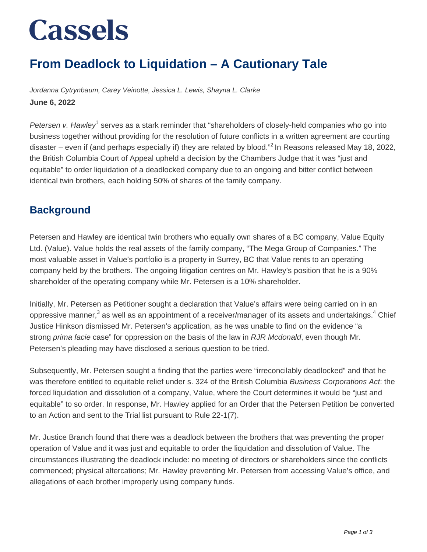# **Cassels**

### **From Deadlock to Liquidation – A Cautionary Tale**

Jordanna Cytrynbaum, Carey Veinotte, Jessica L. Lewis, Shayna L. Clarke **June 6, 2022**

Petersen v. Hawley<sup>1</sup> serves as a stark reminder that "shareholders of closely-held companies who go into business together without providing for the resolution of future conflicts in a written agreement are courting disaster – even if (and perhaps especially if) they are related by blood."<sup>2</sup> In Reasons released May 18, 2022, the British Columbia Court of Appeal upheld a decision by the Chambers Judge that it was "just and equitable" to order liquidation of a deadlocked company due to an ongoing and bitter conflict between identical twin brothers, each holding 50% of shares of the family company.

#### **Background**

Petersen and Hawley are identical twin brothers who equally own shares of a BC company, Value Equity Ltd. (Value). Value holds the real assets of the family company, "The Mega Group of Companies." The most valuable asset in Value's portfolio is a property in Surrey, BC that Value rents to an operating company held by the brothers. The ongoing litigation centres on Mr. Hawley's position that he is a 90% shareholder of the operating company while Mr. Petersen is a 10% shareholder.

Initially, Mr. Petersen as Petitioner sought a declaration that Value's affairs were being carried on in an oppressive manner,<sup>3</sup> as well as an appointment of a receiver/manager of its assets and undertakings.<sup>4</sup> Chief Justice Hinkson dismissed Mr. Petersen's application, as he was unable to find on the evidence "a strong prima facie case" for oppression on the basis of the law in RJR Mcdonald, even though Mr. Petersen's pleading may have disclosed a serious question to be tried.

Subsequently, Mr. Petersen sought a finding that the parties were "irreconcilably deadlocked" and that he was therefore entitled to equitable relief under s. 324 of the British Columbia Business Corporations Act. the forced liquidation and dissolution of a company, Value, where the Court determines it would be "just and equitable" to so order. In response, Mr. Hawley applied for an Order that the Petersen Petition be converted to an Action and sent to the Trial list pursuant to Rule 22-1(7).

Mr. Justice Branch found that there was a deadlock between the brothers that was preventing the proper operation of Value and it was just and equitable to order the liquidation and dissolution of Value. The circumstances illustrating the deadlock include: no meeting of directors or shareholders since the conflicts commenced; physical altercations; Mr. Hawley preventing Mr. Petersen from accessing Value's office, and allegations of each brother improperly using company funds.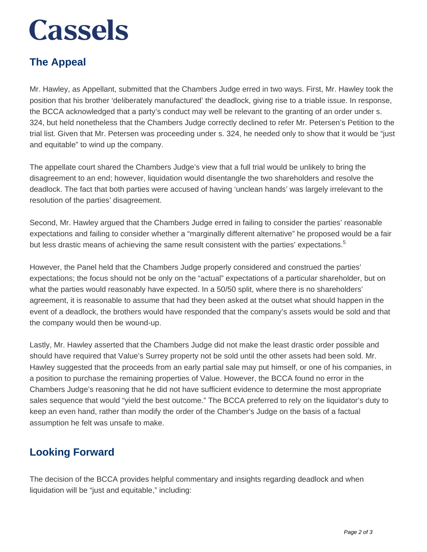## **Cassels**

### **The Appeal**

Mr. Hawley, as Appellant, submitted that the Chambers Judge erred in two ways. First, Mr. Hawley took the position that his brother 'deliberately manufactured' the deadlock, giving rise to a triable issue. In response, the BCCA acknowledged that a party's conduct may well be relevant to the granting of an order under s. 324, but held nonetheless that the Chambers Judge correctly declined to refer Mr. Petersen's Petition to the trial list. Given that Mr. Petersen was proceeding under s. 324, he needed only to show that it would be "just and equitable" to wind up the company.

The appellate court shared the Chambers Judge's view that a full trial would be unlikely to bring the disagreement to an end; however, liquidation would disentangle the two shareholders and resolve the deadlock. The fact that both parties were accused of having 'unclean hands' was largely irrelevant to the resolution of the parties' disagreement.

Second, Mr. Hawley argued that the Chambers Judge erred in failing to consider the parties' reasonable expectations and failing to consider whether a "marginally different alternative" he proposed would be a fair but less drastic means of achieving the same result consistent with the parties' expectations.<sup>5</sup>

However, the Panel held that the Chambers Judge properly considered and construed the parties' expectations; the focus should not be only on the "actual" expectations of a particular shareholder, but on what the parties would reasonably have expected. In a 50/50 split, where there is no shareholders' agreement, it is reasonable to assume that had they been asked at the outset what should happen in the event of a deadlock, the brothers would have responded that the company's assets would be sold and that the company would then be wound-up.

Lastly, Mr. Hawley asserted that the Chambers Judge did not make the least drastic order possible and should have required that Value's Surrey property not be sold until the other assets had been sold. Mr. Hawley suggested that the proceeds from an early partial sale may put himself, or one of his companies, in a position to purchase the remaining properties of Value. However, the BCCA found no error in the Chambers Judge's reasoning that he did not have sufficient evidence to determine the most appropriate sales sequence that would "yield the best outcome." The BCCA preferred to rely on the liquidator's duty to keep an even hand, rather than modify the order of the Chamber's Judge on the basis of a factual assumption he felt was unsafe to make.

#### **Looking Forward**

The decision of the BCCA provides helpful commentary and insights regarding deadlock and when liquidation will be "just and equitable," including: